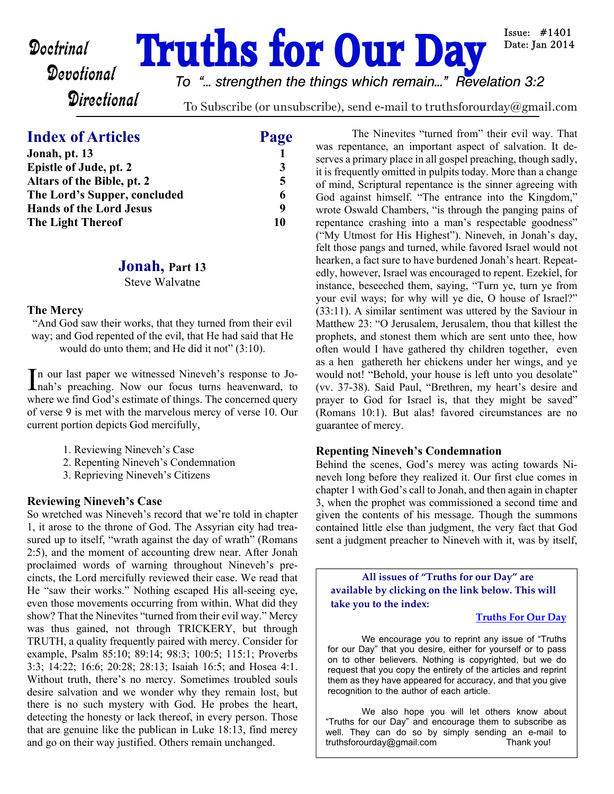# **Doctrinal Truths for Our Day**

Issue:  $\#1401$ Date: Jan 2014

# **Directional**

*To "... strengthen the things which remain..." Revelation 3:2*

To Subscribe (or unsubscribe), send e-mail to truthsforourday@gmail.com

# **Index of Articles Page**

|                                                                                                                               | $\overline{\phantom{a}}$ |                          |    |
|-------------------------------------------------------------------------------------------------------------------------------|--------------------------|--------------------------|----|
| Jonah, pt. 13                                                                                                                 |                          |                          |    |
| <b>Epistle of Jude, pt. 2</b><br>Altars of the Bible, pt. 2<br>The Lord's Supper, concluded<br><b>Hands of the Lord Jesus</b> | 6                        |                          |    |
|                                                                                                                               |                          | <b>The Light Thereof</b> | 10 |
|                                                                                                                               |                          |                          |    |

#### **Jonah, Part 13**

Steve Walvatne

#### **The Mercy**

"And God saw their works, that they turned from their evil way; and God repented of the evil, that He had said that He would do unto them; and He did it not" (3:10).

In our last paper we witnessed Nineveh's response to Jo-<br>hah's preaching. Now our focus turns heavenward, to nah's preaching. Now our focus turns heavenward, to where we find God's estimate of things. The concerned query of verse 9 is met with the marvelous mercy of verse 10. Our current portion depicts God mercifully,

- 1. Reviewing Nineveh's Case
- 2. Repenting Nineveh's Condemnation
- 3. Reprieving Nineveh's Citizens

#### **Reviewing Nineveh's Case**

So wretched was Nineveh's record that we're told in chapter 1, it arose to the throne of God. The Assyrian city had treasured up to itself, "wrath against the day of wrath" (Romans 2:5), and the moment of accounting drew near. After Jonah proclaimed words of warning throughout Nineveh's precincts, the Lord mercifully reviewed their case. We read that He "saw their works." Nothing escaped His all-seeing eye, even those movements occurring from within. What did they show? That the Ninevites "turned from their evil way." Mercy was thus gained, not through TRICKERY, but through TRUTH, a quality frequently paired with mercy. Consider for example, Psalm 85:10; 89:14; 98:3; 100:5; 115:1; Proverbs 3:3; 14:22; 16:6; 20:28; 28:13; Isaiah 16:5; and Hosea 4:1. Without truth, there's no mercy. Sometimes troubled souls desire salvation and we wonder why they remain lost, but there is no such mystery with God. He probes the heart, detecting the honesty or lack thereof, in every person. Those that are genuine like the publican in Luke 18:13, find mercy and go on their way justified. Others remain unchanged.

 The Ninevites "turned from" their evil way. That was repentance, an important aspect of salvation. It deserves a primary place in all gospel preaching, though sadly, it is frequently omitted in pulpits today. More than a change of mind, Scriptural repentance is the sinner agreeing with God against himself. "The entrance into the Kingdom," wrote Oswald Chambers, "is through the panging pains of repentance crashing into a man's respectable goodness" ("My Utmost for His Highest"). Nineveh, in Jonah's day, felt those pangs and turned, while favored Israel would not hearken, a fact sure to have burdened Jonah's heart. Repeatedly, however, Israel was encouraged to repent. Ezekiel, for instance, beseeched them, saying, "Turn ye, turn ye from your evil ways; for why will ye die, O house of Israel?" (33:11). A similar sentiment was uttered by the Saviour in Matthew 23: "O Jerusalem, Jerusalem, thou that killest the prophets, and stonest them which are sent unto thee, how often would I have gathered thy children together, even as a hen gathereth her chickens under her wings, and ye would not! "Behold, your house is left unto you desolate" (vv. 37-38). Said Paul, "Brethren, my heart's desire and prayer to God for Israel is, that they might be saved" (Romans 10:1). But alas! favored circumstances are no guarantee of mercy.

#### **Repenting Nineveh's Condemnation**

Behind the scenes, God's mercy was acting towards Nineveh long before they realized it. Our first clue comes in chapter 1 with God's call to Jonah, and then again in chapter 3, when the prophet was commissioned a second time and given the contents of his message. Though the summons contained little else than judgment, the very fact that God sent a judgment preacher to Nineveh with it, was by itself,

**All issues of "Truths for our Day" are available by clicking on the link below. This will take you to the index:**

#### **[Truths For Our Day](http://truthsforourday.com)**

 We encourage you to reprint any issue of "Truths for our Day" that you desire, either for yourself or to pass on to other believers. Nothing is copyrighted, but we do request that you copy the entirety of the articles and reprint them as they have appeared for accuracy, and that you give recognition to the author of each article.

 We also hope you will let others know about "Truths for our Day" and encourage them to subscribe as well. They can do so by simply sending an e-mail to truthsforourday@gmail.com Thank you!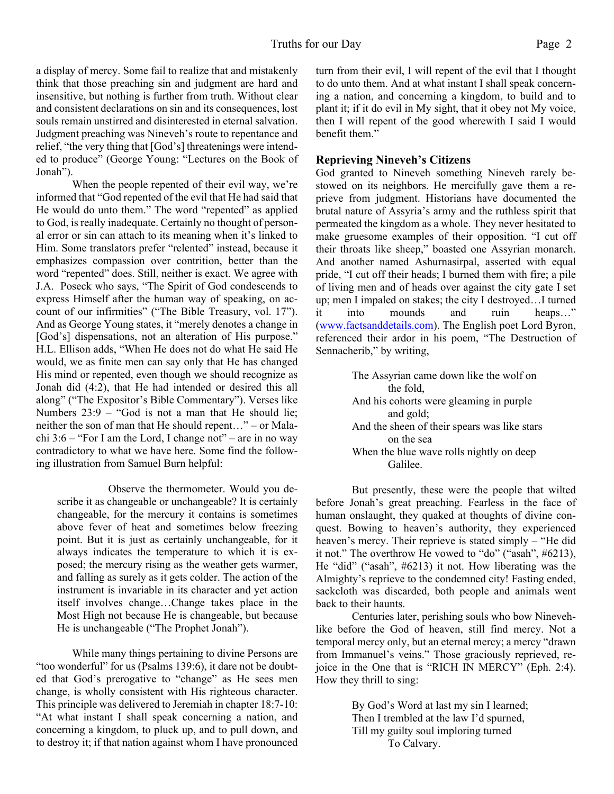a display of mercy. Some fail to realize that and mistakenly think that those preaching sin and judgment are hard and insensitive, but nothing is further from truth. Without clear and consistent declarations on sin and its consequences, lost souls remain unstirred and disinterested in eternal salvation. Judgment preaching was Nineveh's route to repentance and relief, "the very thing that [God's] threatenings were intended to produce" (George Young: "Lectures on the Book of Jonah").

When the people repented of their evil way, we're informed that "God repented of the evil that He had said that He would do unto them." The word "repented" as applied to God, is really inadequate. Certainly no thought of personal error or sin can attach to its meaning when it's linked to Him. Some translators prefer "relented" instead, because it emphasizes compassion over contrition, better than the word "repented" does. Still, neither is exact. We agree with J.A. Poseck who says, "The Spirit of God condescends to express Himself after the human way of speaking, on account of our infirmities" ("The Bible Treasury, vol. 17"). And as George Young states, it "merely denotes a change in [God's] dispensations, not an alteration of His purpose." H.L. Ellison adds, "When He does not do what He said He would, we as finite men can say only that He has changed His mind or repented, even though we should recognize as Jonah did (4:2), that He had intended or desired this all along" ("The Expositor's Bible Commentary"). Verses like Numbers 23:9 – "God is not a man that He should lie; neither the son of man that He should repent…" – or Malachi  $3:6$  – "For I am the Lord, I change not" – are in no way contradictory to what we have here. Some find the following illustration from Samuel Burn helpful:

Observe the thermometer. Would you describe it as changeable or unchangeable? It is certainly changeable, for the mercury it contains is sometimes above fever of heat and sometimes below freezing point. But it is just as certainly unchangeable, for it always indicates the temperature to which it is exposed; the mercury rising as the weather gets warmer, and falling as surely as it gets colder. The action of the instrument is invariable in its character and yet action itself involves change…Change takes place in the Most High not because He is changeable, but because He is unchangeable ("The Prophet Jonah").

 While many things pertaining to divine Persons are "too wonderful" for us (Psalms 139:6), it dare not be doubted that God's prerogative to "change" as He sees men change, is wholly consistent with His righteous character. This principle was delivered to Jeremiah in chapter 18:7-10: "At what instant I shall speak concerning a nation, and concerning a kingdom, to pluck up, and to pull down, and to destroy it; if that nation against whom I have pronounced turn from their evil, I will repent of the evil that I thought to do unto them. And at what instant I shall speak concerning a nation, and concerning a kingdom, to build and to plant it; if it do evil in My sight, that it obey not My voice, then I will repent of the good wherewith I said I would benefit them."

#### **Reprieving Nineveh's Citizens**

God granted to Nineveh something Nineveh rarely bestowed on its neighbors. He mercifully gave them a reprieve from judgment. Historians have documented the brutal nature of Assyria's army and the ruthless spirit that permeated the kingdom as a whole. They never hesitated to make gruesome examples of their opposition. "I cut off their throats like sheep," boasted one Assyrian monarch. And another named Ashurnasirpal, asserted with equal pride, "I cut off their heads; I burned them with fire; a pile of living men and of heads over against the city gate I set up; men I impaled on stakes; the city I destroyed…I turned it into mounds and ruin heaps…" ([www.factsanddetails.com](http://www.factsanddetails.com)). The English poet Lord Byron, referenced their ardor in his poem, "The Destruction of Sennacherib," by writing,

> The Assyrian came down like the wolf on the fold, And his cohorts were gleaming in purple and gold; And the sheen of their spears was like stars on the sea When the blue wave rolls nightly on deep Galilee.

But presently, these were the people that wilted before Jonah's great preaching. Fearless in the face of human onslaught, they quaked at thoughts of divine conquest. Bowing to heaven's authority, they experienced heaven's mercy. Their reprieve is stated simply – "He did it not." The overthrow He vowed to "do" ("asah", #6213), He "did" ("asah", #6213) it not. How liberating was the Almighty's reprieve to the condemned city! Fasting ended, sackcloth was discarded, both people and animals went back to their haunts.

Centuries later, perishing souls who bow Ninevehlike before the God of heaven, still find mercy. Not a temporal mercy only, but an eternal mercy; a mercy "drawn from Immanuel's veins." Those graciously reprieved, rejoice in the One that is "RICH IN MERCY" (Eph. 2:4). How they thrill to sing:

> By God's Word at last my sin I learned; Then I trembled at the law I'd spurned, Till my guilty soul imploring turned To Calvary.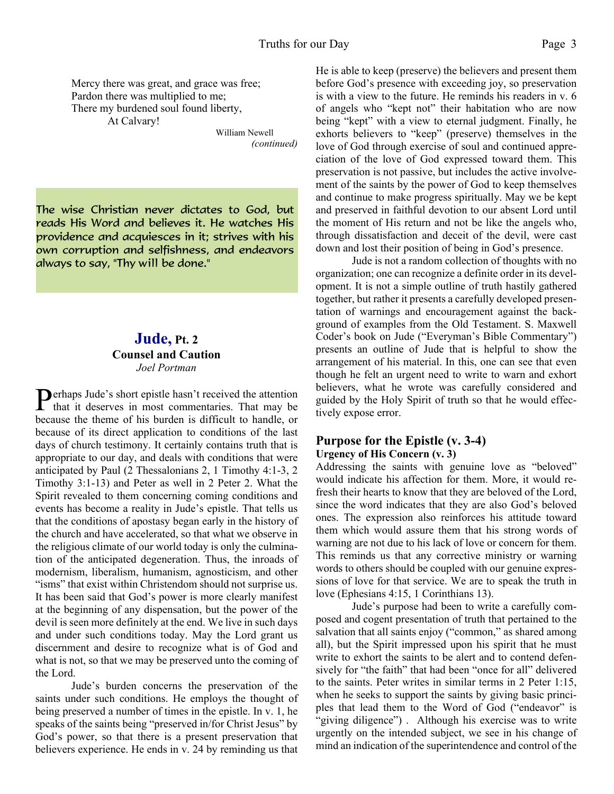Mercy there was great, and grace was free; Pardon there was multiplied to me; There my burdened soul found liberty, At Calvary!

 William Newell *(continued)*

The wise Christian never dictates to God, but reads His Word and believes it. He watches His providence and acquiesces in it; strives with his own corruption and selfishness, and endeavors always to say, "Thy will be done."

### **Jude, Pt. 2 Counsel and Caution** *Joel Portman*

**P**erhaps Jude's short epistle hasn't received the attention<br>that it deserves in most commentaries. That may be that it deserves in most commentaries. That may be because the theme of his burden is difficult to handle, or because of its direct application to conditions of the last days of church testimony. It certainly contains truth that is appropriate to our day, and deals with conditions that were anticipated by Paul (2 Thessalonians 2, 1 Timothy 4:1-3, 2 Timothy 3:1-13) and Peter as well in 2 Peter 2. What the Spirit revealed to them concerning coming conditions and events has become a reality in Jude's epistle. That tells us that the conditions of apostasy began early in the history of the church and have accelerated, so that what we observe in the religious climate of our world today is only the culmination of the anticipated degeneration. Thus, the inroads of modernism, liberalism, humanism, agnosticism, and other "isms" that exist within Christendom should not surprise us. It has been said that God's power is more clearly manifest at the beginning of any dispensation, but the power of the devil is seen more definitely at the end. We live in such days and under such conditions today. May the Lord grant us discernment and desire to recognize what is of God and what is not, so that we may be preserved unto the coming of the Lord.

 Jude's burden concerns the preservation of the saints under such conditions. He employs the thought of being preserved a number of times in the epistle. In v. 1, he speaks of the saints being "preserved in/for Christ Jesus" by God's power, so that there is a present preservation that believers experience. He ends in v. 24 by reminding us that He is able to keep (preserve) the believers and present them before God's presence with exceeding joy, so preservation is with a view to the future. He reminds his readers in v. 6 of angels who "kept not" their habitation who are now being "kept" with a view to eternal judgment. Finally, he exhorts believers to "keep" (preserve) themselves in the love of God through exercise of soul and continued appreciation of the love of God expressed toward them. This preservation is not passive, but includes the active involvement of the saints by the power of God to keep themselves and continue to make progress spiritually. May we be kept and preserved in faithful devotion to our absent Lord until the moment of His return and not be like the angels who, through dissatisfaction and deceit of the devil, were cast down and lost their position of being in God's presence.

 Jude is not a random collection of thoughts with no organization; one can recognize a definite order in its development. It is not a simple outline of truth hastily gathered together, but rather it presents a carefully developed presentation of warnings and encouragement against the background of examples from the Old Testament. S. Maxwell Coder's book on Jude ("Everyman's Bible Commentary") presents an outline of Jude that is helpful to show the arrangement of his material. In this, one can see that even though he felt an urgent need to write to warn and exhort believers, what he wrote was carefully considered and guided by the Holy Spirit of truth so that he would effectively expose error.

#### **Purpose for the Epistle (v. 3-4) Urgency of His Concern (v. 3)**

Addressing the saints with genuine love as "beloved" would indicate his affection for them. More, it would refresh their hearts to know that they are beloved of the Lord, since the word indicates that they are also God's beloved ones. The expression also reinforces his attitude toward them which would assure them that his strong words of warning are not due to his lack of love or concern for them. This reminds us that any corrective ministry or warning words to others should be coupled with our genuine expressions of love for that service. We are to speak the truth in love (Ephesians 4:15, 1 Corinthians 13).

 Jude's purpose had been to write a carefully composed and cogent presentation of truth that pertained to the salvation that all saints enjoy ("common," as shared among all), but the Spirit impressed upon his spirit that he must write to exhort the saints to be alert and to contend defensively for "the faith" that had been "once for all" delivered to the saints. Peter writes in similar terms in 2 Peter 1:15, when he seeks to support the saints by giving basic principles that lead them to the Word of God ("endeavor" is "giving diligence"). Although his exercise was to write urgently on the intended subject, we see in his change of mind an indication of the superintendence and control of the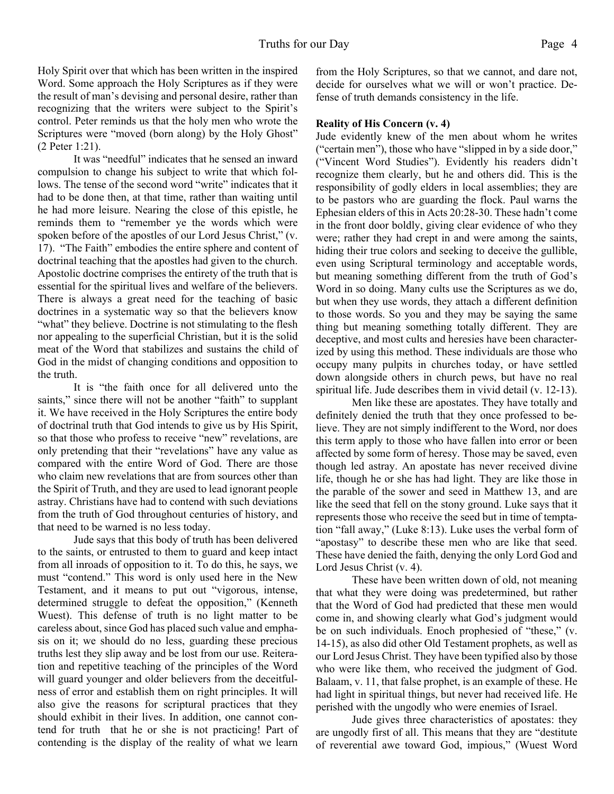Holy Spirit over that which has been written in the inspired Word. Some approach the Holy Scriptures as if they were the result of man's devising and personal desire, rather than recognizing that the writers were subject to the Spirit's control. Peter reminds us that the holy men who wrote the Scriptures were "moved (born along) by the Holy Ghost" (2 Peter 1:21).

 It was "needful" indicates that he sensed an inward compulsion to change his subject to write that which follows. The tense of the second word "write" indicates that it had to be done then, at that time, rather than waiting until he had more leisure. Nearing the close of this epistle, he reminds them to "remember ye the words which were spoken before of the apostles of our Lord Jesus Christ," (v. 17). "The Faith" embodies the entire sphere and content of doctrinal teaching that the apostles had given to the church. Apostolic doctrine comprises the entirety of the truth that is essential for the spiritual lives and welfare of the believers. There is always a great need for the teaching of basic doctrines in a systematic way so that the believers know "what" they believe. Doctrine is not stimulating to the flesh nor appealing to the superficial Christian, but it is the solid meat of the Word that stabilizes and sustains the child of God in the midst of changing conditions and opposition to the truth.

 It is "the faith once for all delivered unto the saints," since there will not be another "faith" to supplant it. We have received in the Holy Scriptures the entire body of doctrinal truth that God intends to give us by His Spirit, so that those who profess to receive "new" revelations, are only pretending that their "revelations" have any value as compared with the entire Word of God. There are those who claim new revelations that are from sources other than the Spirit of Truth, and they are used to lead ignorant people astray. Christians have had to contend with such deviations from the truth of God throughout centuries of history, and that need to be warned is no less today.

 Jude says that this body of truth has been delivered to the saints, or entrusted to them to guard and keep intact from all inroads of opposition to it. To do this, he says, we must "contend." This word is only used here in the New Testament, and it means to put out "vigorous, intense, determined struggle to defeat the opposition," (Kenneth Wuest). This defense of truth is no light matter to be careless about, since God has placed such value and emphasis on it; we should do no less, guarding these precious truths lest they slip away and be lost from our use. Reiteration and repetitive teaching of the principles of the Word will guard younger and older believers from the deceitfulness of error and establish them on right principles. It will also give the reasons for scriptural practices that they should exhibit in their lives. In addition, one cannot contend for truth that he or she is not practicing! Part of contending is the display of the reality of what we learn

from the Holy Scriptures, so that we cannot, and dare not, decide for ourselves what we will or won't practice. Defense of truth demands consistency in the life.

#### **Reality of His Concern (v. 4)**

Jude evidently knew of the men about whom he writes ("certain men"), those who have "slipped in by a side door," ("Vincent Word Studies"). Evidently his readers didn't recognize them clearly, but he and others did. This is the responsibility of godly elders in local assemblies; they are to be pastors who are guarding the flock. Paul warns the Ephesian elders of this in Acts 20:28-30. These hadn't come in the front door boldly, giving clear evidence of who they were; rather they had crept in and were among the saints, hiding their true colors and seeking to deceive the gullible, even using Scriptural terminology and acceptable words, but meaning something different from the truth of God's Word in so doing. Many cults use the Scriptures as we do, but when they use words, they attach a different definition to those words. So you and they may be saying the same thing but meaning something totally different. They are deceptive, and most cults and heresies have been characterized by using this method. These individuals are those who occupy many pulpits in churches today, or have settled down alongside others in church pews, but have no real spiritual life. Jude describes them in vivid detail (v. 12-13).

 Men like these are apostates. They have totally and definitely denied the truth that they once professed to believe. They are not simply indifferent to the Word, nor does this term apply to those who have fallen into error or been affected by some form of heresy. Those may be saved, even though led astray. An apostate has never received divine life, though he or she has had light. They are like those in the parable of the sower and seed in Matthew 13, and are like the seed that fell on the stony ground. Luke says that it represents those who receive the seed but in time of temptation "fall away," (Luke 8:13). Luke uses the verbal form of "apostasy" to describe these men who are like that seed. These have denied the faith, denying the only Lord God and Lord Jesus Christ (v. 4).

 These have been written down of old, not meaning that what they were doing was predetermined, but rather that the Word of God had predicted that these men would come in, and showing clearly what God's judgment would be on such individuals. Enoch prophesied of "these," (v. 14-15), as also did other Old Testament prophets, as well as our Lord Jesus Christ. They have been typified also by those who were like them, who received the judgment of God. Balaam, v. 11, that false prophet, is an example of these. He had light in spiritual things, but never had received life. He perished with the ungodly who were enemies of Israel.

 Jude gives three characteristics of apostates: they are ungodly first of all. This means that they are "destitute of reverential awe toward God, impious," (Wuest Word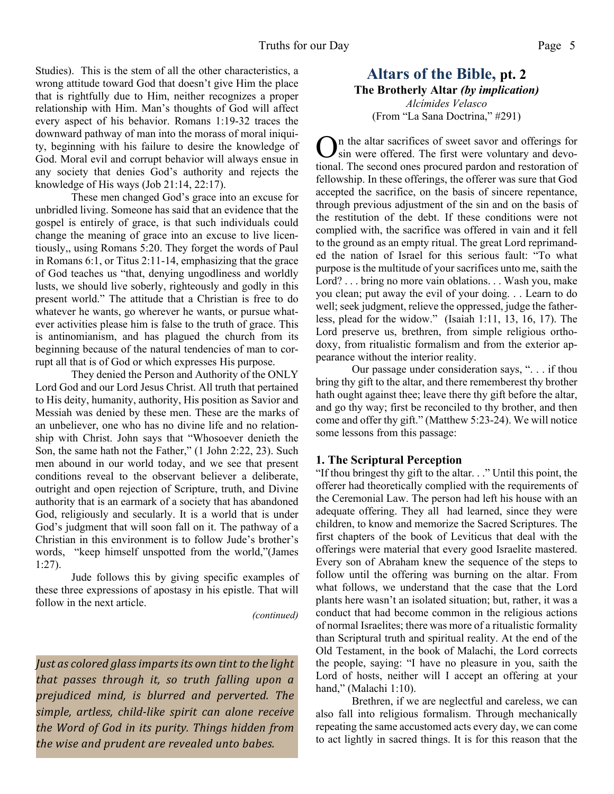Studies). This is the stem of all the other characteristics, a wrong attitude toward God that doesn't give Him the place that is rightfully due to Him, neither recognizes a proper relationship with Him. Man's thoughts of God will affect every aspect of his behavior. Romans 1:19-32 traces the downward pathway of man into the morass of moral iniquity, beginning with his failure to desire the knowledge of God. Moral evil and corrupt behavior will always ensue in any society that denies God's authority and rejects the knowledge of His ways (Job 21:14, 22:17).

 These men changed God's grace into an excuse for unbridled living. Someone has said that an evidence that the gospel is entirely of grace, is that such individuals could change the meaning of grace into an excuse to live licentiously,, using Romans 5:20. They forget the words of Paul in Romans 6:1, or Titus 2:11-14, emphasizing that the grace of God teaches us "that, denying ungodliness and worldly lusts, we should live soberly, righteously and godly in this present world." The attitude that a Christian is free to do whatever he wants, go wherever he wants, or pursue whatever activities please him is false to the truth of grace. This is antinomianism, and has plagued the church from its beginning because of the natural tendencies of man to corrupt all that is of God or which expresses His purpose.

 They denied the Person and Authority of the ONLY Lord God and our Lord Jesus Christ. All truth that pertained to His deity, humanity, authority, His position as Savior and Messiah was denied by these men. These are the marks of an unbeliever, one who has no divine life and no relationship with Christ. John says that "Whosoever denieth the Son, the same hath not the Father," (1 John 2:22, 23). Such men abound in our world today, and we see that present conditions reveal to the observant believer a deliberate, outright and open rejection of Scripture, truth, and Divine authority that is an earmark of a society that has abandoned God, religiously and secularly. It is a world that is under God's judgment that will soon fall on it. The pathway of a Christian in this environment is to follow Jude's brother's words, "keep himself unspotted from the world,"(James 1:27).

 Jude follows this by giving specific examples of these three expressions of apostasy in his epistle. That will follow in the next article.

*(continued)*

*Just as colored glass imparts its own tint to the light that passes through it, so truth falling upon a prejudiced mind, is blurred and perverted. The simple, artless, child-like spirit can alone receive the Word of God in its purity. Things hidden from the wise and prudent are revealed unto babes.*

#### **Altars of the Bible, pt. 2 The Brotherly Altar** *(by implication) Alcímides Velasco* (From "La Sana Doctrina," #291)

**O**n the altar sacrifices of sweet savor and offerings for sin were offered. The first were voluntary and devotional. The second ones procured pardon and restoration of n the altar sacrifices of sweet savor and offerings for sin were offered. The first were voluntary and devofellowship. In these offerings, the offerer was sure that God accepted the sacrifice, on the basis of sincere repentance, through previous adjustment of the sin and on the basis of the restitution of the debt. If these conditions were not complied with, the sacrifice was offered in vain and it fell to the ground as an empty ritual. The great Lord reprimanded the nation of Israel for this serious fault: "To what purpose is the multitude of your sacrifices unto me, saith the Lord? . . . bring no more vain oblations. . . Wash you, make you clean; put away the evil of your doing. . . Learn to do well; seek judgment, relieve the oppressed, judge the fatherless, plead for the widow." (Isaiah 1:11, 13, 16, 17). The Lord preserve us, brethren, from simple religious orthodoxy, from ritualistic formalism and from the exterior appearance without the interior reality.

 Our passage under consideration says, ". . . if thou bring thy gift to the altar, and there rememberest thy brother hath ought against thee; leave there thy gift before the altar, and go thy way; first be reconciled to thy brother, and then come and offer thy gift." (Matthew 5:23-24). We will notice some lessons from this passage:

#### **1. The Scriptural Perception**

"If thou bringest thy gift to the altar. . ." Until this point, the offerer had theoretically complied with the requirements of the Ceremonial Law. The person had left his house with an adequate offering. They all had learned, since they were children, to know and memorize the Sacred Scriptures. The first chapters of the book of Leviticus that deal with the offerings were material that every good Israelite mastered. Every son of Abraham knew the sequence of the steps to follow until the offering was burning on the altar. From what follows, we understand that the case that the Lord plants here wasn't an isolated situation; but, rather, it was a conduct that had become common in the religious actions of normal Israelites; there was more of a ritualistic formality than Scriptural truth and spiritual reality. At the end of the Old Testament, in the book of Malachi, the Lord corrects the people, saying: "I have no pleasure in you, saith the Lord of hosts, neither will I accept an offering at your hand," (Malachi 1:10).

 Brethren, if we are neglectful and careless, we can also fall into religious formalism. Through mechanically repeating the same accustomed acts every day, we can come to act lightly in sacred things. It is for this reason that the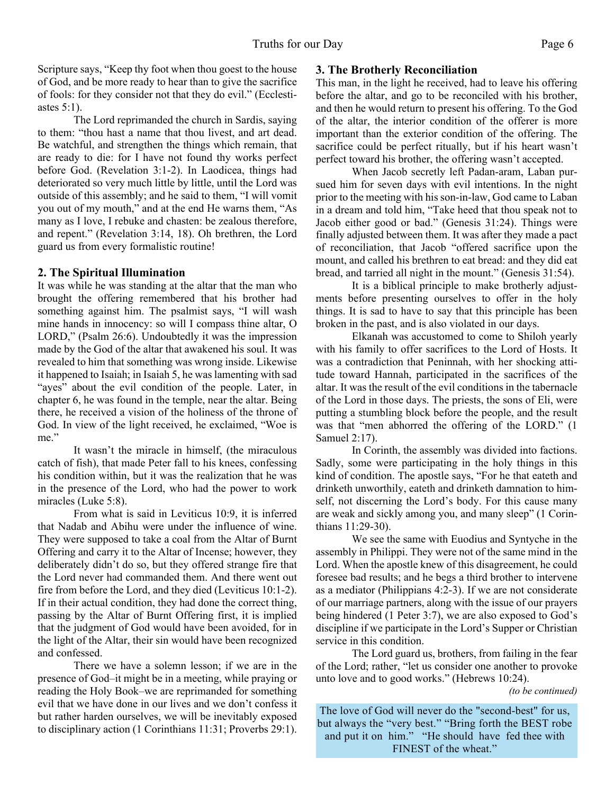Scripture says, "Keep thy foot when thou goest to the house of God, and be more ready to hear than to give the sacrifice of fools: for they consider not that they do evil." (Ecclestiastes  $5:1$ ).

 The Lord reprimanded the church in Sardis, saying to them: "thou hast a name that thou livest, and art dead. Be watchful, and strengthen the things which remain, that are ready to die: for I have not found thy works perfect before God. (Revelation 3:1-2). In Laodicea, things had deteriorated so very much little by little, until the Lord was outside of this assembly; and he said to them, "I will vomit you out of my mouth," and at the end He warns them, "As many as I love, I rebuke and chasten: be zealous therefore, and repent." (Revelation 3:14, 18). Oh brethren, the Lord guard us from every formalistic routine!

#### **2. The Spiritual Illumination**

It was while he was standing at the altar that the man who brought the offering remembered that his brother had something against him. The psalmist says, "I will wash mine hands in innocency: so will I compass thine altar, O LORD," (Psalm 26:6). Undoubtedly it was the impression made by the God of the altar that awakened his soul. It was revealed to him that something was wrong inside. Likewise it happened to Isaiah; in Isaiah 5, he was lamenting with sad "ayes" about the evil condition of the people. Later, in chapter 6, he was found in the temple, near the altar. Being there, he received a vision of the holiness of the throne of God. In view of the light received, he exclaimed, "Woe is me."

 It wasn't the miracle in himself, (the miraculous catch of fish), that made Peter fall to his knees, confessing his condition within, but it was the realization that he was in the presence of the Lord, who had the power to work miracles (Luke 5:8).

 From what is said in Leviticus 10:9, it is inferred that Nadab and Abihu were under the influence of wine. They were supposed to take a coal from the Altar of Burnt Offering and carry it to the Altar of Incense; however, they deliberately didn't do so, but they offered strange fire that the Lord never had commanded them. And there went out fire from before the Lord, and they died (Leviticus 10:1-2). If in their actual condition, they had done the correct thing, passing by the Altar of Burnt Offering first, it is implied that the judgment of God would have been avoided, for in the light of the Altar, their sin would have been recognized and confessed.

There we have a solemn lesson; if we are in the presence of God–it might be in a meeting, while praying or reading the Holy Book–we are reprimanded for something evil that we have done in our lives and we don't confess it but rather harden ourselves, we will be inevitably exposed to disciplinary action (1 Corinthians 11:31; Proverbs 29:1).

#### **3. The Brotherly Reconciliation**

This man, in the light he received, had to leave his offering before the altar, and go to be reconciled with his brother, and then he would return to present his offering. To the God of the altar, the interior condition of the offerer is more important than the exterior condition of the offering. The sacrifice could be perfect ritually, but if his heart wasn't perfect toward his brother, the offering wasn't accepted.

 When Jacob secretly left Padan-aram, Laban pursued him for seven days with evil intentions. In the night prior to the meeting with his son-in-law, God came to Laban in a dream and told him, "Take heed that thou speak not to Jacob either good or bad." (Genesis 31:24). Things were finally adjusted between them. It was after they made a pact of reconciliation, that Jacob "offered sacrifice upon the mount, and called his brethren to eat bread: and they did eat bread, and tarried all night in the mount." (Genesis 31:54).

 It is a biblical principle to make brotherly adjustments before presenting ourselves to offer in the holy things. It is sad to have to say that this principle has been broken in the past, and is also violated in our days.

 Elkanah was accustomed to come to Shiloh yearly with his family to offer sacrifices to the Lord of Hosts. It was a contradiction that Peninnah, with her shocking attitude toward Hannah, participated in the sacrifices of the altar. It was the result of the evil conditions in the tabernacle of the Lord in those days. The priests, the sons of Eli, were putting a stumbling block before the people, and the result was that "men abhorred the offering of the LORD." (1 Samuel 2:17).

 In Corinth, the assembly was divided into factions. Sadly, some were participating in the holy things in this kind of condition. The apostle says, "For he that eateth and drinketh unworthily, eateth and drinketh damnation to himself, not discerning the Lord's body. For this cause many are weak and sickly among you, and many sleep" (1 Corinthians 11:29-30).

 We see the same with Euodius and Syntyche in the assembly in Philippi. They were not of the same mind in the Lord. When the apostle knew of this disagreement, he could foresee bad results; and he begs a third brother to intervene as a mediator (Philippians 4:2-3). If we are not considerate of our marriage partners, along with the issue of our prayers being hindered (1 Peter 3:7), we are also exposed to God's discipline if we participate in the Lord's Supper or Christian service in this condition.

 The Lord guard us, brothers, from failing in the fear of the Lord; rather, "let us consider one another to provoke unto love and to good works." (Hebrews 10:24).

*(to be continued)*

The love of God will never do the "second-best" for us, but always the "very best." "Bring forth the BEST robe and put it on him." "He should have fed thee with FINEST of the wheat."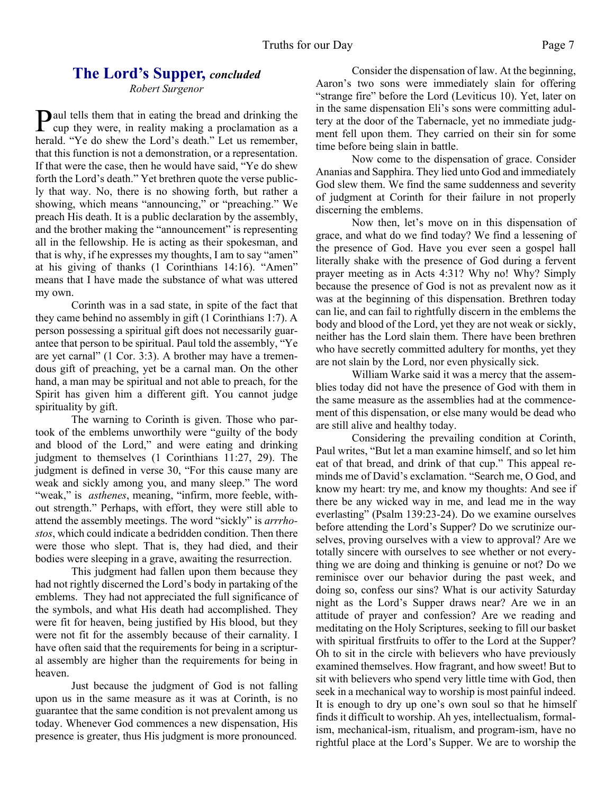# **The Lord's Supper,** *concluded*

*Robert Surgenor*

**P** aul tells them that in eating the bread and drinking the cup they were, in reality making a proclamation as a cup they were, in reality making a proclamation as a herald. "Ye do shew the Lord's death." Let us remember, that this function is not a demonstration, or a representation. If that were the case, then he would have said, "Ye do shew forth the Lord's death." Yet brethren quote the verse publicly that way. No, there is no showing forth, but rather a showing, which means "announcing," or "preaching." We preach His death. It is a public declaration by the assembly, and the brother making the "announcement" is representing all in the fellowship. He is acting as their spokesman, and that is why, if he expresses my thoughts, I am to say "amen" at his giving of thanks (1 Corinthians 14:16). "Amen" means that I have made the substance of what was uttered my own.

 Corinth was in a sad state, in spite of the fact that they came behind no assembly in gift (1 Corinthians 1:7). A person possessing a spiritual gift does not necessarily guarantee that person to be spiritual. Paul told the assembly, "Ye are yet carnal" (1 Cor. 3:3). A brother may have a tremendous gift of preaching, yet be a carnal man. On the other hand, a man may be spiritual and not able to preach, for the Spirit has given him a different gift. You cannot judge spirituality by gift.

 The warning to Corinth is given. Those who partook of the emblems unworthily were "guilty of the body and blood of the Lord," and were eating and drinking judgment to themselves (1 Corinthians 11:27, 29). The judgment is defined in verse 30, "For this cause many are weak and sickly among you, and many sleep." The word "weak," is *asthenes*, meaning, "infirm, more feeble, without strength." Perhaps, with effort, they were still able to attend the assembly meetings. The word "sickly" is *arrrhostos*, which could indicate a bedridden condition. Then there were those who slept. That is, they had died, and their bodies were sleeping in a grave, awaiting the resurrection.

This judgment had fallen upon them because they had not rightly discerned the Lord's body in partaking of the emblems. They had not appreciated the full significance of the symbols, and what His death had accomplished. They were fit for heaven, being justified by His blood, but they were not fit for the assembly because of their carnality. I have often said that the requirements for being in a scriptural assembly are higher than the requirements for being in heaven.

 Just because the judgment of God is not falling upon us in the same measure as it was at Corinth, is no guarantee that the same condition is not prevalent among us today. Whenever God commences a new dispensation, His presence is greater, thus His judgment is more pronounced.

 Consider the dispensation of law. At the beginning, Aaron's two sons were immediately slain for offering "strange fire" before the Lord (Leviticus 10). Yet, later on in the same dispensation Eli's sons were committing adultery at the door of the Tabernacle, yet no immediate judgment fell upon them. They carried on their sin for some time before being slain in battle.

 Now come to the dispensation of grace. Consider Ananias and Sapphira. They lied unto God and immediately God slew them. We find the same suddenness and severity of judgment at Corinth for their failure in not properly discerning the emblems.

 Now then, let's move on in this dispensation of grace, and what do we find today? We find a lessening of the presence of God. Have you ever seen a gospel hall literally shake with the presence of God during a fervent prayer meeting as in Acts 4:31? Why no! Why? Simply because the presence of God is not as prevalent now as it was at the beginning of this dispensation. Brethren today can lie, and can fail to rightfully discern in the emblems the body and blood of the Lord, yet they are not weak or sickly, neither has the Lord slain them. There have been brethren who have secretly committed adultery for months, yet they are not slain by the Lord, nor even physically sick.

 William Warke said it was a mercy that the assemblies today did not have the presence of God with them in the same measure as the assemblies had at the commencement of this dispensation, or else many would be dead who are still alive and healthy today.

 Considering the prevailing condition at Corinth, Paul writes, "But let a man examine himself, and so let him eat of that bread, and drink of that cup." This appeal reminds me of David's exclamation. "Search me, O God, and know my heart: try me, and know my thoughts: And see if there be any wicked way in me, and lead me in the way everlasting" (Psalm 139:23-24). Do we examine ourselves before attending the Lord's Supper? Do we scrutinize ourselves, proving ourselves with a view to approval? Are we totally sincere with ourselves to see whether or not everything we are doing and thinking is genuine or not? Do we reminisce over our behavior during the past week, and doing so, confess our sins? What is our activity Saturday night as the Lord's Supper draws near? Are we in an attitude of prayer and confession? Are we reading and meditating on the Holy Scriptures, seeking to fill our basket with spiritual firstfruits to offer to the Lord at the Supper? Oh to sit in the circle with believers who have previously examined themselves. How fragrant, and how sweet! But to sit with believers who spend very little time with God, then seek in a mechanical way to worship is most painful indeed. It is enough to dry up one's own soul so that he himself finds it difficult to worship. Ah yes, intellectualism, formalism, mechanical-ism, ritualism, and program-ism, have no rightful place at the Lord's Supper. We are to worship the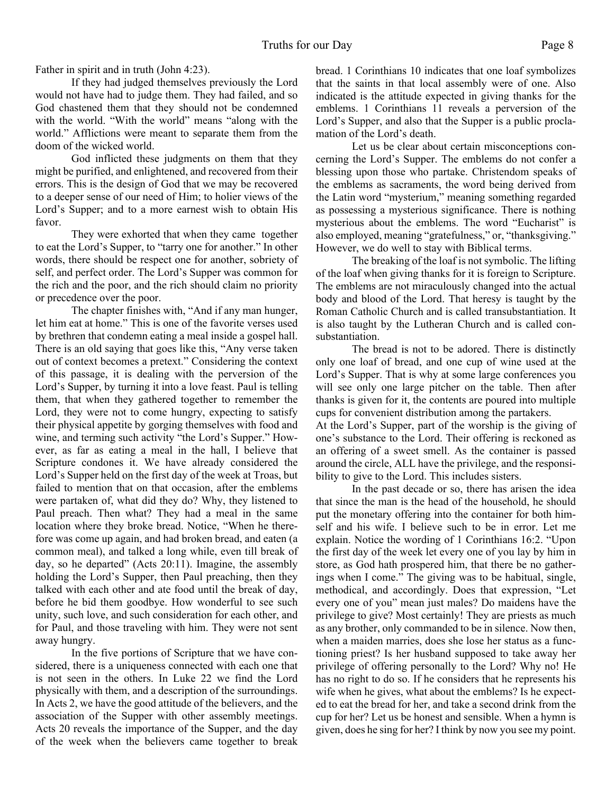Father in spirit and in truth (John 4:23).

If they had judged themselves previously the Lord would not have had to judge them. They had failed, and so God chastened them that they should not be condemned with the world. "With the world" means "along with the world." Afflictions were meant to separate them from the doom of the wicked world.

 God inflicted these judgments on them that they might be purified, and enlightened, and recovered from their errors. This is the design of God that we may be recovered to a deeper sense of our need of Him; to holier views of the Lord's Supper; and to a more earnest wish to obtain His favor.

They were exhorted that when they came together to eat the Lord's Supper, to "tarry one for another." In other words, there should be respect one for another, sobriety of self, and perfect order. The Lord's Supper was common for the rich and the poor, and the rich should claim no priority or precedence over the poor.

 The chapter finishes with, "And if any man hunger, let him eat at home." This is one of the favorite verses used by brethren that condemn eating a meal inside a gospel hall. There is an old saying that goes like this, "Any verse taken out of context becomes a pretext." Considering the context of this passage, it is dealing with the perversion of the Lord's Supper, by turning it into a love feast. Paul is telling them, that when they gathered together to remember the Lord, they were not to come hungry, expecting to satisfy their physical appetite by gorging themselves with food and wine, and terming such activity "the Lord's Supper." However, as far as eating a meal in the hall, I believe that Scripture condones it. We have already considered the Lord's Supper held on the first day of the week at Troas, but failed to mention that on that occasion, after the emblems were partaken of, what did they do? Why, they listened to Paul preach. Then what? They had a meal in the same location where they broke bread. Notice, "When he therefore was come up again, and had broken bread, and eaten (a common meal), and talked a long while, even till break of day, so he departed" (Acts 20:11). Imagine, the assembly holding the Lord's Supper, then Paul preaching, then they talked with each other and ate food until the break of day, before he bid them goodbye. How wonderful to see such unity, such love, and such consideration for each other, and for Paul, and those traveling with him. They were not sent away hungry.

 In the five portions of Scripture that we have considered, there is a uniqueness connected with each one that is not seen in the others. In Luke 22 we find the Lord physically with them, and a description of the surroundings. In Acts 2, we have the good attitude of the believers, and the association of the Supper with other assembly meetings. Acts 20 reveals the importance of the Supper, and the day of the week when the believers came together to break

bread. 1 Corinthians 10 indicates that one loaf symbolizes that the saints in that local assembly were of one. Also indicated is the attitude expected in giving thanks for the emblems. 1 Corinthians 11 reveals a perversion of the Lord's Supper, and also that the Supper is a public proclamation of the Lord's death.

 Let us be clear about certain misconceptions concerning the Lord's Supper. The emblems do not confer a blessing upon those who partake. Christendom speaks of the emblems as sacraments, the word being derived from the Latin word "mysterium," meaning something regarded as possessing a mysterious significance. There is nothing mysterious about the emblems. The word "Eucharist" is also employed, meaning "gratefulness," or, "thanksgiving." However, we do well to stay with Biblical terms.

 The breaking of the loaf is not symbolic. The lifting of the loaf when giving thanks for it is foreign to Scripture. The emblems are not miraculously changed into the actual body and blood of the Lord. That heresy is taught by the Roman Catholic Church and is called transubstantiation. It is also taught by the Lutheran Church and is called consubstantiation.

 The bread is not to be adored. There is distinctly only one loaf of bread, and one cup of wine used at the Lord's Supper. That is why at some large conferences you will see only one large pitcher on the table. Then after thanks is given for it, the contents are poured into multiple cups for convenient distribution among the partakers. At the Lord's Supper, part of the worship is the giving of

one's substance to the Lord. Their offering is reckoned as an offering of a sweet smell. As the container is passed around the circle, ALL have the privilege, and the responsibility to give to the Lord. This includes sisters.

 In the past decade or so, there has arisen the idea that since the man is the head of the household, he should put the monetary offering into the container for both himself and his wife. I believe such to be in error. Let me explain. Notice the wording of 1 Corinthians 16:2. "Upon the first day of the week let every one of you lay by him in store, as God hath prospered him, that there be no gatherings when I come." The giving was to be habitual, single, methodical, and accordingly. Does that expression, "Let every one of you" mean just males? Do maidens have the privilege to give? Most certainly! They are priests as much as any brother, only commanded to be in silence. Now then, when a maiden marries, does she lose her status as a functioning priest? Is her husband supposed to take away her privilege of offering personally to the Lord? Why no! He has no right to do so. If he considers that he represents his wife when he gives, what about the emblems? Is he expected to eat the bread for her, and take a second drink from the cup for her? Let us be honest and sensible. When a hymn is given, does he sing for her? I think by now you see my point.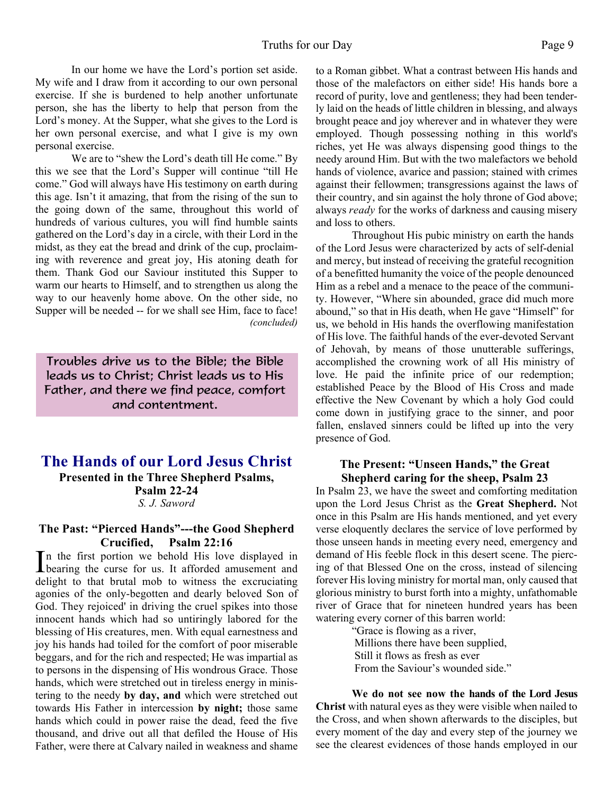In our home we have the Lord's portion set aside. My wife and I draw from it according to our own personal exercise. If she is burdened to help another unfortunate person, she has the liberty to help that person from the Lord's money. At the Supper, what she gives to the Lord is her own personal exercise, and what I give is my own personal exercise.

 We are to "shew the Lord's death till He come." By this we see that the Lord's Supper will continue "till He come." God will always have His testimony on earth during this age. Isn't it amazing, that from the rising of the sun to the going down of the same, throughout this world of hundreds of various cultures, you will find humble saints gathered on the Lord's day in a circle, with their Lord in the midst, as they eat the bread and drink of the cup, proclaiming with reverence and great joy, His atoning death for them. Thank God our Saviour instituted this Supper to warm our hearts to Himself, and to strengthen us along the way to our heavenly home above. On the other side, no Supper will be needed -- for we shall see Him, face to face! *(concluded)*

Troubles drive us to the Bible; the Bible leads us to Christ; Christ leads us to His Father, and there we find peace, comfort and contentment.

# **The Hands of our Lord Jesus Christ**

**Presented in the Three Shepherd Psalms, Psalm 22-24** *S. J. Saword*

#### **The Past: "Pierced Hands"---the Good Shepherd Crucified, Psalm 22:16**

In the first portion we behold His love displayed in<br>bearing the curse for us. It afforded amusement and bearing the curse for us. It afforded amusement and delight to that brutal mob to witness the excruciating agonies of the only-begotten and dearly beloved Son of God. They rejoiced' in driving the cruel spikes into those innocent hands which had so untiringly labored for the blessing of His creatures, men. With equal earnestness and joy his hands had toiled for the comfort of poor miserable beggars, and for the rich and respected; He was impartial as to persons in the dispensing of His wondrous Grace. Those hands, which were stretched out in tireless energy in ministering to the needy **by day, and** which were stretched out towards His Father in intercession **by night;** those same hands which could in power raise the dead, feed the five thousand, and drive out all that defiled the House of His Father, were there at Calvary nailed in weakness and shame

to a Roman gibbet. What a contrast between His hands and those of the malefactors on either side! His hands bore a record of purity, love and gentleness; they had been tenderly laid on the heads of little children in blessing, and always brought peace and joy wherever and in whatever they were employed. Though possessing nothing in this world's riches, yet He was always dispensing good things to the needy around Him. But with the two malefactors we behold hands of violence, avarice and passion; stained with crimes against their fellowmen; transgressions against the laws of their country, and sin against the holy throne of God above; always *ready* for the works of darkness and causing misery and loss to others.

Throughout His pubic ministry on earth the hands of the Lord Jesus were characterized by acts of self-denial and mercy, but instead of receiving the grateful recognition of a benefitted humanity the voice of the people denounced Him as a rebel and a menace to the peace of the community. However, "Where sin abounded, grace did much more abound," so that in His death, when He gave "Himself" for us, we behold in His hands the overflowing manifestation of His love. The faithful hands of the ever-devoted Servant of Jehovah, by means of those unutterable sufferings, accomplished the crowning work of all His ministry of love. He paid the infinite price of our redemption; established Peace by the Blood of His Cross and made effective the New Covenant by which a holy God could come down in justifying grace to the sinner, and poor fallen, enslaved sinners could be lifted up into the very presence of God.

#### **The Present: "Unseen Hands," the Great Shepherd caring for the sheep, Psalm 23**

In Psalm 23, we have the sweet and comforting meditation upon the Lord Jesus Christ as the **Great Shepherd.** Not once in this Psalm are His hands mentioned, and yet every verse eloquently declares the service of love performed by those unseen hands in meeting every need, emergency and demand of His feeble flock in this desert scene. The piercing of that Blessed One on the cross, instead of silencing forever His loving ministry for mortal man, only caused that glorious ministry to burst forth into a mighty, unfathomable river of Grace that for nineteen hundred years has been watering every corner of this barren world:

> "Grace is flowing as a river, Millions there have been supplied, Still it flows as fresh as ever From the Saviour's wounded side."

**We do not see now the hands of the Lord Jesus Christ** with natural eyes as they were visible when nailed to the Cross, and when shown afterwards to the disciples, but every moment of the day and every step of the journey we see the clearest evidences of those hands employed in our